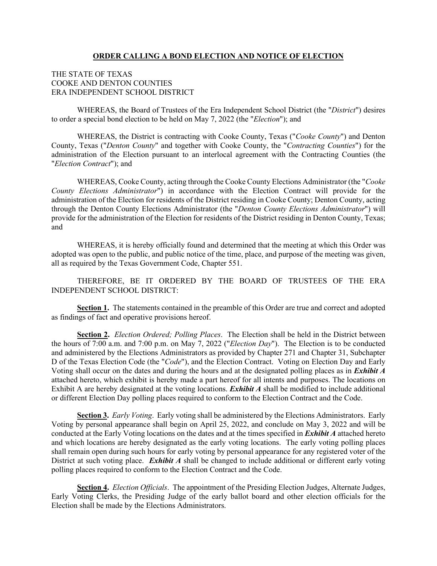#### **ORDER CALLING A BOND ELECTION AND NOTICE OF ELECTION**

## THE STATE OF TEXAS COOKE AND DENTON COUNTIES ERA INDEPENDENT SCHOOL DISTRICT

WHEREAS, the Board of Trustees of the Era Independent School District (the "*District*") desires to order a special bond election to be held on May 7, 2022 (the "*Election*"); and

WHEREAS, the District is contracting with Cooke County, Texas ("*Cooke County*") and Denton County, Texas ("*Denton County*" and together with Cooke County, the "*Contracting Counties*") for the administration of the Election pursuant to an interlocal agreement with the Contracting Counties (the "*Election Contract*"); and

WHEREAS, Cooke County, acting through the Cooke County Elections Administrator (the "*Cooke County Elections Administrator*") in accordance with the Election Contract will provide for the administration of the Election for residents of the District residing in Cooke County; Denton County, acting through the Denton County Elections Administrator (the "*Denton County Elections Administrator*") will provide for the administration of the Election for residents of the District residing in Denton County, Texas; and

WHEREAS, it is hereby officially found and determined that the meeting at which this Order was adopted was open to the public, and public notice of the time, place, and purpose of the meeting was given, all as required by the Texas Government Code, Chapter 551.

THEREFORE, BE IT ORDERED BY THE BOARD OF TRUSTEES OF THE ERA INDEPENDENT SCHOOL DISTRICT:

**Section 1.** The statements contained in the preamble of this Order are true and correct and adopted as findings of fact and operative provisions hereof.

**Section 2.** *Election Ordered; Polling Places*. The Election shall be held in the District between the hours of 7:00 a.m. and 7:00 p.m. on May 7, 2022 ("*Election Day*"). The Election is to be conducted and administered by the Elections Administrators as provided by Chapter 271 and Chapter 31, Subchapter D of the Texas Election Code (the "*Code*"), and the Election Contract. Voting on Election Day and Early Voting shall occur on the dates and during the hours and at the designated polling places as in *Exhibit A* attached hereto, which exhibit is hereby made a part hereof for all intents and purposes. The locations on Exhibit A are hereby designated at the voting locations. *Exhibit A* shall be modified to include additional or different Election Day polling places required to conform to the Election Contract and the Code.

**Section 3.** *Early Voting*. Early voting shall be administered by the Elections Administrators. Early Voting by personal appearance shall begin on April 25, 2022, and conclude on May 3, 2022 and will be conducted at the Early Voting locations on the dates and at the times specified in *Exhibit A* attached hereto and which locations are hereby designated as the early voting locations. The early voting polling places shall remain open during such hours for early voting by personal appearance for any registered voter of the District at such voting place. *Exhibit A* shall be changed to include additional or different early voting polling places required to conform to the Election Contract and the Code.

**Section 4.** *Election Officials*. The appointment of the Presiding Election Judges, Alternate Judges, Early Voting Clerks, the Presiding Judge of the early ballot board and other election officials for the Election shall be made by the Elections Administrators.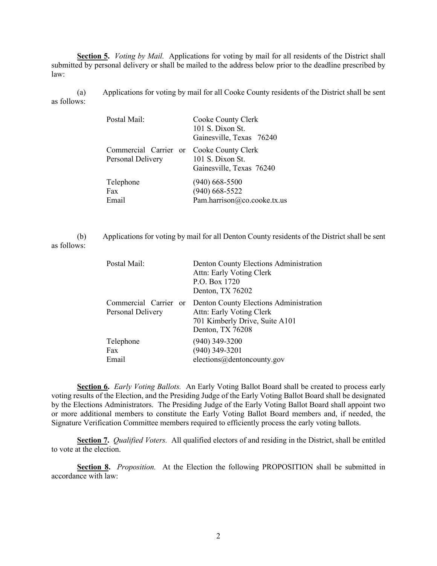**Section 5.** *Voting by Mail.* Applications for voting by mail for all residents of the District shall submitted by personal delivery or shall be mailed to the address below prior to the deadline prescribed by law:

(a) Applications for voting by mail for all Cooke County residents of the District shall be sent as follows:

| Postal Mail:                                                  | Cooke County Clerk<br>101 S. Dixon St.<br>Gainesville, Texas 76240 |  |  |
|---------------------------------------------------------------|--------------------------------------------------------------------|--|--|
| Commercial Carrier or Cooke County Clerk<br>Personal Delivery | 101 S. Dixon St.<br>Gainesville, Texas 76240                       |  |  |
| Telephone                                                     | $(940)$ 668-5500                                                   |  |  |
| Fax                                                           | $(940)$ 668-5522                                                   |  |  |
| Email                                                         | Pam.harrison@co.cooke.tx.us                                        |  |  |

(b) Applications for voting by mail for all Denton County residents of the District shall be sent as follows:

| Postal Mail:                               | Denton County Elections Administration<br>Attn: Early Voting Clerk<br>P.O. Box 1720<br>Denton, TX 76202                  |
|--------------------------------------------|--------------------------------------------------------------------------------------------------------------------------|
| Commercial Carrier or<br>Personal Delivery | Denton County Elections Administration<br>Attn: Early Voting Clerk<br>701 Kimberly Drive, Suite A101<br>Denton, TX 76208 |
| Telephone<br>Fax<br>Email                  | $(940)$ 349-3200<br>$(940)$ 349-3201<br>elections@dentoncounty.gov                                                       |

**Section 6.** *Early Voting Ballots.* An Early Voting Ballot Board shall be created to process early voting results of the Election, and the Presiding Judge of the Early Voting Ballot Board shall be designated by the Elections Administrators. The Presiding Judge of the Early Voting Ballot Board shall appoint two or more additional members to constitute the Early Voting Ballot Board members and, if needed, the Signature Verification Committee members required to efficiently process the early voting ballots.

**Section 7.** *Qualified Voters.* All qualified electors of and residing in the District, shall be entitled to vote at the election.

**Section 8.** *Proposition.* At the Election the following PROPOSITION shall be submitted in accordance with law: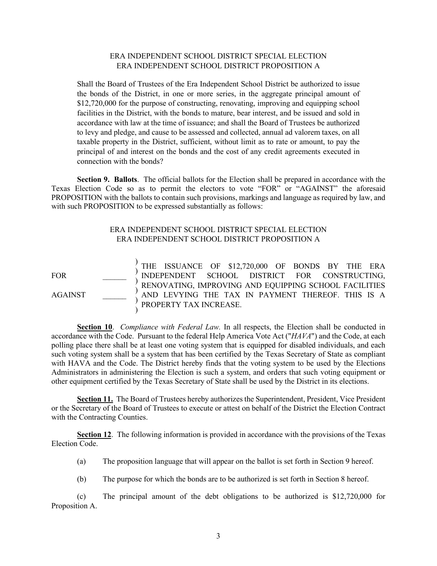#### ERA INDEPENDENT SCHOOL DISTRICT SPECIAL ELECTION ERA INDEPENDENT SCHOOL DISTRICT PROPOSITION A

Shall the Board of Trustees of the Era Independent School District be authorized to issue the bonds of the District, in one or more series, in the aggregate principal amount of \$12,720,000 for the purpose of constructing, renovating, improving and equipping school facilities in the District, with the bonds to mature, bear interest, and be issued and sold in accordance with law at the time of issuance; and shall the Board of Trustees be authorized to levy and pledge, and cause to be assessed and collected, annual ad valorem taxes, on all taxable property in the District, sufficient, without limit as to rate or amount, to pay the principal of and interest on the bonds and the cost of any credit agreements executed in connection with the bonds?

**Section 9. Ballots**. The official ballots for the Election shall be prepared in accordance with the Texas Election Code so as to permit the electors to vote "FOR" or "AGAINST" the aforesaid PROPOSITION with the ballots to contain such provisions, markings and language as required by law, and with such PROPOSITION to be expressed substantially as follows:

### ERA INDEPENDENT SCHOOL DISTRICT SPECIAL ELECTION ERA INDEPENDENT SCHOOL DISTRICT PROPOSITION A

FOR \_\_\_\_\_\_ AGAINST \_\_\_\_\_\_ ) ) ) ) ) ) THE ISSUANCE OF \$12,720,000 OF BONDS BY THE ERA INDEPENDENT SCHOOL DISTRICT FOR CONSTRUCTING, RENOVATING, IMPROVING AND EQUIPPING SCHOOL FACILITIES AND LEVYING THE TAX IN PAYMENT THEREOF. THIS IS A PROPERTY TAX INCREASE.

**Section 10**. *Compliance with Federal Law.* In all respects, the Election shall be conducted in accordance with the Code. Pursuant to the federal Help America Vote Act ("*HAVA*") and the Code, at each polling place there shall be at least one voting system that is equipped for disabled individuals, and each such voting system shall be a system that has been certified by the Texas Secretary of State as compliant with HAVA and the Code. The District hereby finds that the voting system to be used by the Elections Administrators in administering the Election is such a system, and orders that such voting equipment or other equipment certified by the Texas Secretary of State shall be used by the District in its elections.

Section 11. The Board of Trustees hereby authorizes the Superintendent, President, Vice President or the Secretary of the Board of Trustees to execute or attest on behalf of the District the Election Contract with the Contracting Counties.

**Section 12**. The following information is provided in accordance with the provisions of the Texas Election Code.

- (a) The proposition language that will appear on the ballot is set forth in Section 9 hereof.
- (b) The purpose for which the bonds are to be authorized is set forth in Section 8 hereof.

(c) The principal amount of the debt obligations to be authorized is \$12,720,000 for Proposition A.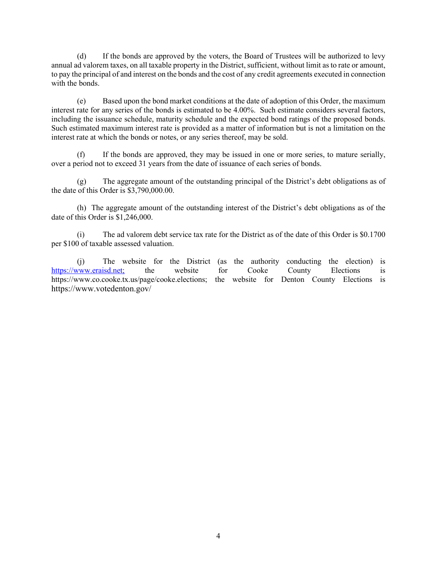(d) If the bonds are approved by the voters, the Board of Trustees will be authorized to levy annual ad valorem taxes, on all taxable property in the District, sufficient, without limit as to rate or amount, to pay the principal of and interest on the bonds and the cost of any credit agreements executed in connection with the bonds.

(e) Based upon the bond market conditions at the date of adoption of this Order, the maximum interest rate for any series of the bonds is estimated to be 4.00%. Such estimate considers several factors, including the issuance schedule, maturity schedule and the expected bond ratings of the proposed bonds. Such estimated maximum interest rate is provided as a matter of information but is not a limitation on the interest rate at which the bonds or notes, or any series thereof, may be sold.

(f) If the bonds are approved, they may be issued in one or more series, to mature serially, over a period not to exceed 31 years from the date of issuance of each series of bonds.

(g) The aggregate amount of the outstanding principal of the District's debt obligations as of the date of this Order is \$3,790,000.00.

(h) The aggregate amount of the outstanding interest of the District's debt obligations as of the date of this Order is \$1,246,000.

(i) The ad valorem debt service tax rate for the District as of the date of this Order is \$0.1700 per \$100 of taxable assessed valuation.

(j) The website for the District (as the authority conducting the election) is [https://www.eraisd.net;](https://www.eraisd.net/) the website for Cooke County Elections is https://www.co.cooke.tx.us/page/cooke.elections; the website for Denton County Elections is https://www.votedenton.gov/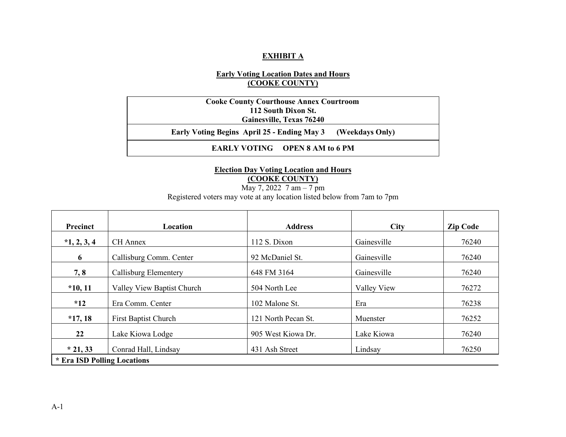## **EXHIBIT A**

# **Early Voting Location Dates and Hours (COOKE COUNTY)**

**Cooke County Courthouse Annex Courtroom 112 South Dixon St. Gainesville, Texas 76240 Early Voting Begins April 25 - Ending May 3 (Weekdays Only) EARLY VOTING OPEN 8 AM to 6 PM** 

## **Election Day Voting Location and Hours (COOKE COUNTY)**

May 7, 2022 7 am – 7 pm

Registered voters may vote at any location listed below from 7am to 7pm

| <b>Precinct</b>             | <b>Location</b>             | <b>Address</b>      | <b>City</b> | <b>Zip Code</b> |  |  |
|-----------------------------|-----------------------------|---------------------|-------------|-----------------|--|--|
| $*1, 2, 3, 4$               | CH Annex                    | $112$ S. Dixon      | Gainesville | 76240           |  |  |
| 6                           | Callisburg Comm. Center     | 92 McDaniel St.     | Gainesville | 76240           |  |  |
| 7, 8                        | Callisburg Elementery       | 648 FM 3164         | Gainesville | 76240           |  |  |
| $*10, 11$                   | Valley View Baptist Church  | 504 North Lee       | Valley View | 76272           |  |  |
| $*12$                       | Era Comm. Center            | 102 Malone St.      | Era         | 76238           |  |  |
| $*17,18$                    | <b>First Baptist Church</b> | 121 North Pecan St. | Muenster    | 76252           |  |  |
| 22                          | Lake Kiowa Lodge            | 905 West Kiowa Dr.  | Lake Kiowa  | 76240           |  |  |
| $*$ 21, 33                  | Conrad Hall, Lindsay        | 431 Ash Street      | Lindsay     | 76250           |  |  |
| * Era ISD Polling Locations |                             |                     |             |                 |  |  |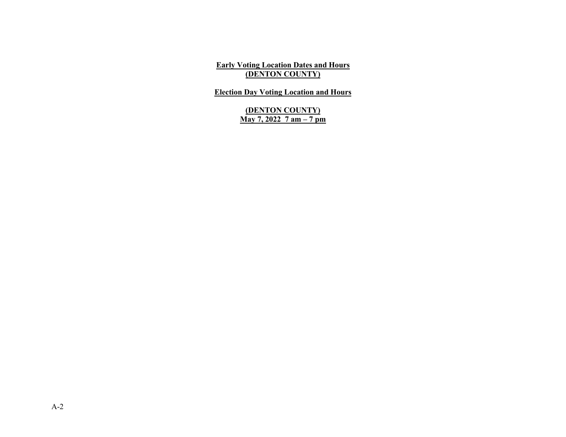**Early Voting Location Dates and Hours (DENTON COUNTY)**

**Election Day Voting Location and Hours**

**(DENTON COUNTY) May 7, 2022 7 am – 7 pm**